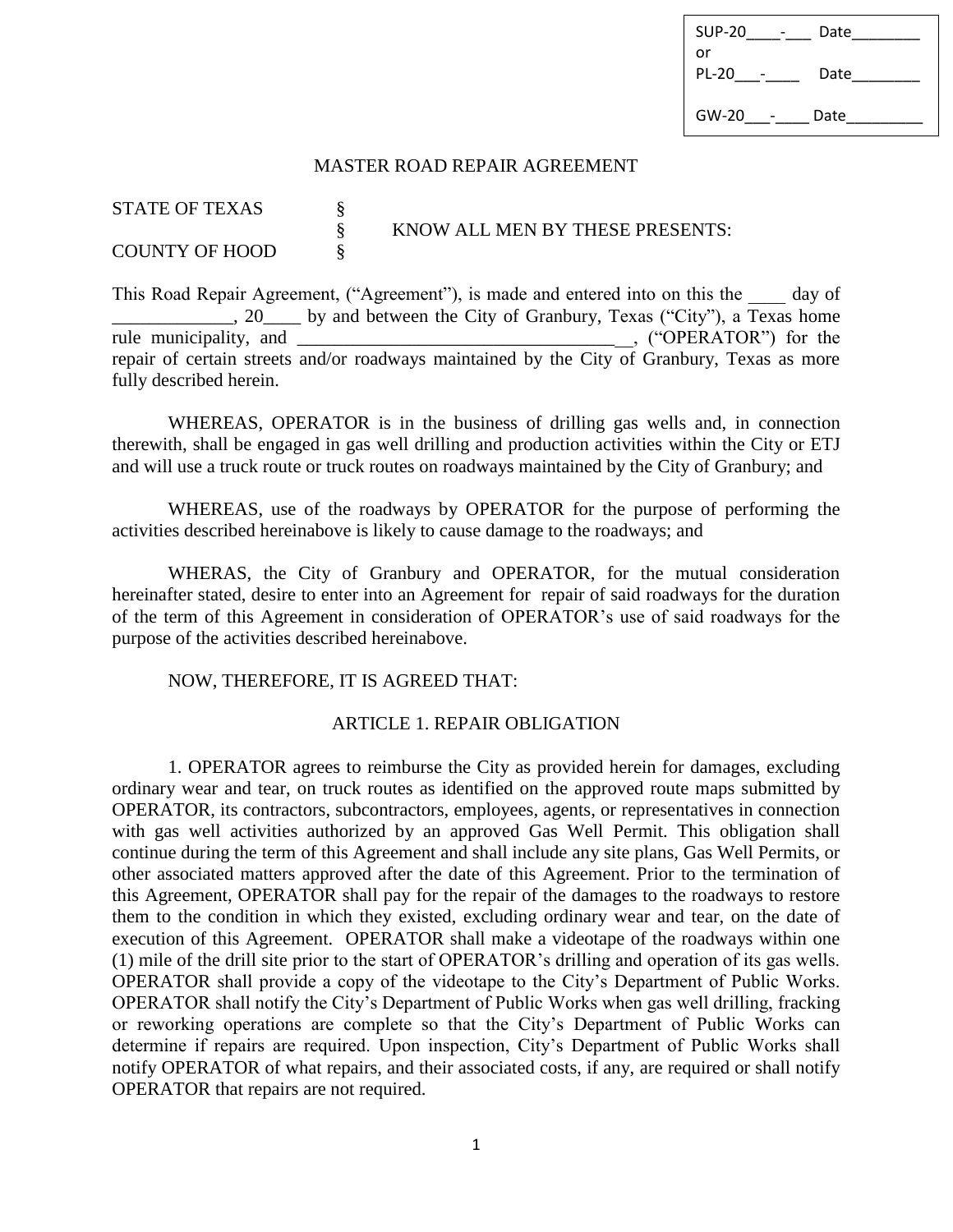| <b>SUP-20</b> | Date |
|---------------|------|
| or            |      |
| <b>PL-20</b>  | Date |
|               |      |
| $GW-20$       | Date |
|               |      |

### MASTER ROAD REPAIR AGREEMENT

| <b>STATE OF TEXAS</b> |                                 |
|-----------------------|---------------------------------|
|                       | KNOW ALL MEN BY THESE PRESENTS: |
| <b>COUNTY OF HOOD</b> |                                 |

This Road Repair Agreement, ("Agreement"), is made and entered into on this the day of , 20 by and between the City of Granbury, Texas ("City"), a Texas home rule municipality, and ("OPERATOR") for the **rule municipality, and all municipality ("OPERATOR")** for the repair of certain streets and/or roadways maintained by the City of Granbury, Texas as more fully described herein.

WHEREAS, OPERATOR is in the business of drilling gas wells and, in connection therewith, shall be engaged in gas well drilling and production activities within the City or ETJ and will use a truck route or truck routes on roadways maintained by the City of Granbury; and

WHEREAS, use of the roadways by OPERATOR for the purpose of performing the activities described hereinabove is likely to cause damage to the roadways; and

WHERAS, the City of Granbury and OPERATOR, for the mutual consideration hereinafter stated, desire to enter into an Agreement for repair of said roadways for the duration of the term of this Agreement in consideration of OPERATOR's use of said roadways for the purpose of the activities described hereinabove.

NOW, THEREFORE, IT IS AGREED THAT:

### ARTICLE 1. REPAIR OBLIGATION

1. OPERATOR agrees to reimburse the City as provided herein for damages, excluding ordinary wear and tear, on truck routes as identified on the approved route maps submitted by OPERATOR, its contractors, subcontractors, employees, agents, or representatives in connection with gas well activities authorized by an approved Gas Well Permit. This obligation shall continue during the term of this Agreement and shall include any site plans, Gas Well Permits, or other associated matters approved after the date of this Agreement. Prior to the termination of this Agreement, OPERATOR shall pay for the repair of the damages to the roadways to restore them to the condition in which they existed, excluding ordinary wear and tear, on the date of execution of this Agreement. OPERATOR shall make a videotape of the roadways within one (1) mile of the drill site prior to the start of OPERATOR's drilling and operation of its gas wells. OPERATOR shall provide a copy of the videotape to the City's Department of Public Works. OPERATOR shall notify the City's Department of Public Works when gas well drilling, fracking or reworking operations are complete so that the City's Department of Public Works can determine if repairs are required. Upon inspection, City's Department of Public Works shall notify OPERATOR of what repairs, and their associated costs, if any, are required or shall notify OPERATOR that repairs are not required.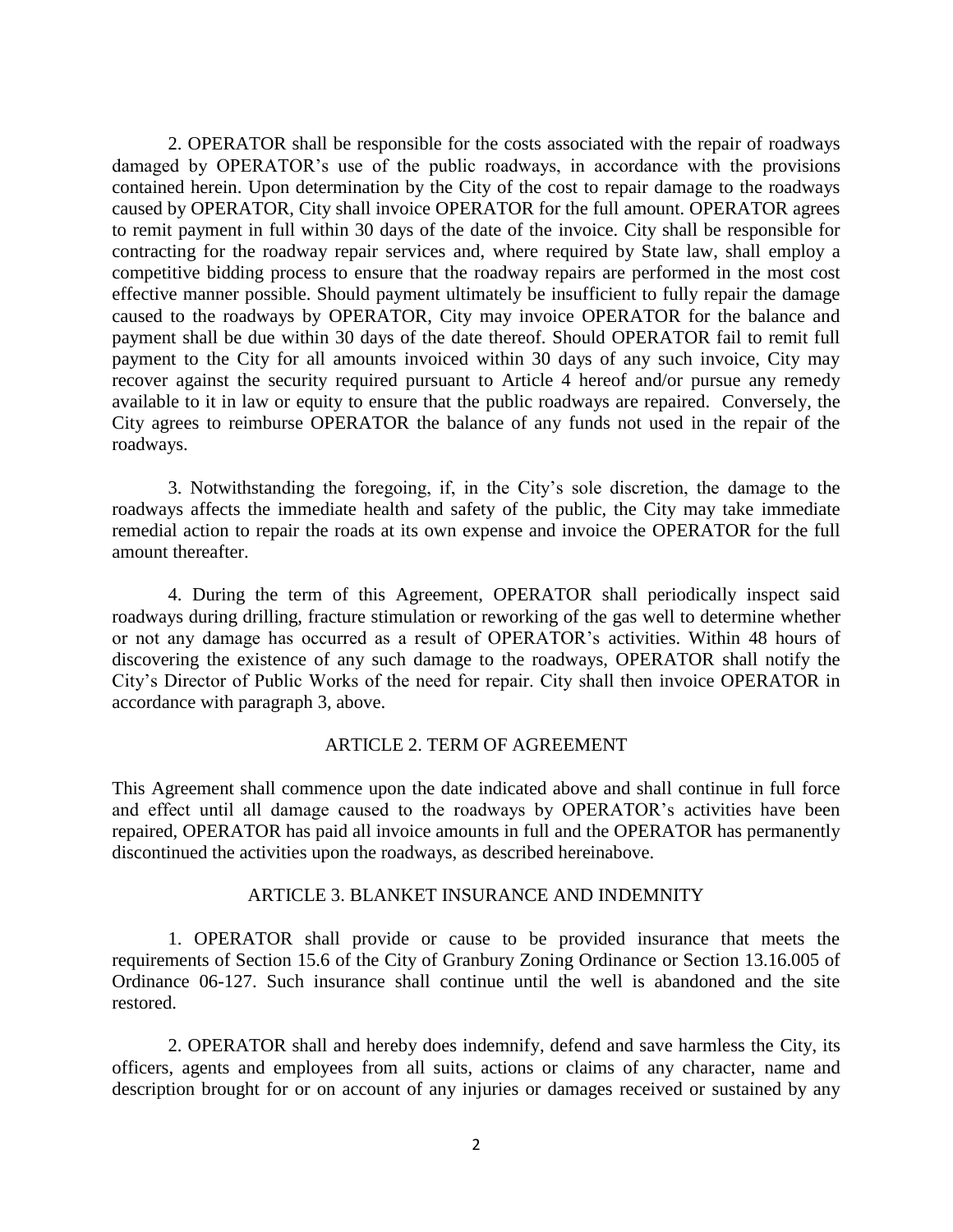2. OPERATOR shall be responsible for the costs associated with the repair of roadways damaged by OPERATOR's use of the public roadways, in accordance with the provisions contained herein. Upon determination by the City of the cost to repair damage to the roadways caused by OPERATOR, City shall invoice OPERATOR for the full amount. OPERATOR agrees to remit payment in full within 30 days of the date of the invoice. City shall be responsible for contracting for the roadway repair services and, where required by State law, shall employ a competitive bidding process to ensure that the roadway repairs are performed in the most cost effective manner possible. Should payment ultimately be insufficient to fully repair the damage caused to the roadways by OPERATOR, City may invoice OPERATOR for the balance and payment shall be due within 30 days of the date thereof. Should OPERATOR fail to remit full payment to the City for all amounts invoiced within 30 days of any such invoice, City may recover against the security required pursuant to Article 4 hereof and/or pursue any remedy available to it in law or equity to ensure that the public roadways are repaired. Conversely, the City agrees to reimburse OPERATOR the balance of any funds not used in the repair of the roadways.

3. Notwithstanding the foregoing, if, in the City's sole discretion, the damage to the roadways affects the immediate health and safety of the public, the City may take immediate remedial action to repair the roads at its own expense and invoice the OPERATOR for the full amount thereafter.

4. During the term of this Agreement, OPERATOR shall periodically inspect said roadways during drilling, fracture stimulation or reworking of the gas well to determine whether or not any damage has occurred as a result of OPERATOR's activities. Within 48 hours of discovering the existence of any such damage to the roadways, OPERATOR shall notify the City's Director of Public Works of the need for repair. City shall then invoice OPERATOR in accordance with paragraph 3, above.

## ARTICLE 2. TERM OF AGREEMENT

This Agreement shall commence upon the date indicated above and shall continue in full force and effect until all damage caused to the roadways by OPERATOR's activities have been repaired, OPERATOR has paid all invoice amounts in full and the OPERATOR has permanently discontinued the activities upon the roadways, as described hereinabove.

#### ARTICLE 3. BLANKET INSURANCE AND INDEMNITY

1. OPERATOR shall provide or cause to be provided insurance that meets the requirements of Section 15.6 of the City of Granbury Zoning Ordinance or Section 13.16.005 of Ordinance 06-127. Such insurance shall continue until the well is abandoned and the site restored.

2. OPERATOR shall and hereby does indemnify, defend and save harmless the City, its officers, agents and employees from all suits, actions or claims of any character, name and description brought for or on account of any injuries or damages received or sustained by any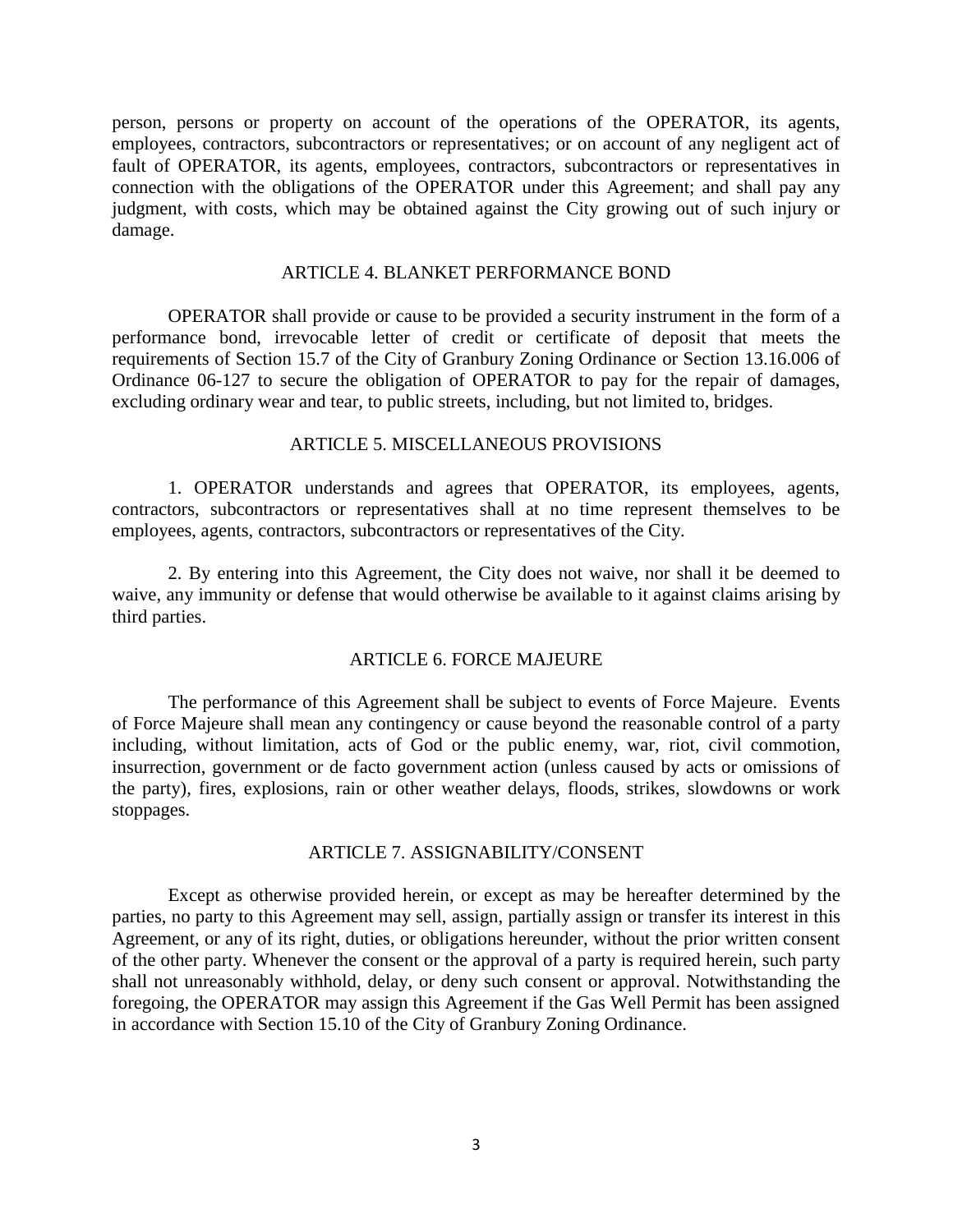person, persons or property on account of the operations of the OPERATOR, its agents, employees, contractors, subcontractors or representatives; or on account of any negligent act of fault of OPERATOR, its agents, employees, contractors, subcontractors or representatives in connection with the obligations of the OPERATOR under this Agreement; and shall pay any judgment, with costs, which may be obtained against the City growing out of such injury or damage.

### ARTICLE 4. BLANKET PERFORMANCE BOND

OPERATOR shall provide or cause to be provided a security instrument in the form of a performance bond, irrevocable letter of credit or certificate of deposit that meets the requirements of Section 15.7 of the City of Granbury Zoning Ordinance or Section 13.16.006 of Ordinance 06-127 to secure the obligation of OPERATOR to pay for the repair of damages, excluding ordinary wear and tear, to public streets, including, but not limited to, bridges.

### ARTICLE 5. MISCELLANEOUS PROVISIONS

1. OPERATOR understands and agrees that OPERATOR, its employees, agents, contractors, subcontractors or representatives shall at no time represent themselves to be employees, agents, contractors, subcontractors or representatives of the City.

2. By entering into this Agreement, the City does not waive, nor shall it be deemed to waive, any immunity or defense that would otherwise be available to it against claims arising by third parties.

## ARTICLE 6. FORCE MAJEURE

The performance of this Agreement shall be subject to events of Force Majeure. Events of Force Majeure shall mean any contingency or cause beyond the reasonable control of a party including, without limitation, acts of God or the public enemy, war, riot, civil commotion, insurrection, government or de facto government action (unless caused by acts or omissions of the party), fires, explosions, rain or other weather delays, floods, strikes, slowdowns or work stoppages.

#### ARTICLE 7. ASSIGNABILITY/CONSENT

Except as otherwise provided herein, or except as may be hereafter determined by the parties, no party to this Agreement may sell, assign, partially assign or transfer its interest in this Agreement, or any of its right, duties, or obligations hereunder, without the prior written consent of the other party. Whenever the consent or the approval of a party is required herein, such party shall not unreasonably withhold, delay, or deny such consent or approval. Notwithstanding the foregoing, the OPERATOR may assign this Agreement if the Gas Well Permit has been assigned in accordance with Section 15.10 of the City of Granbury Zoning Ordinance.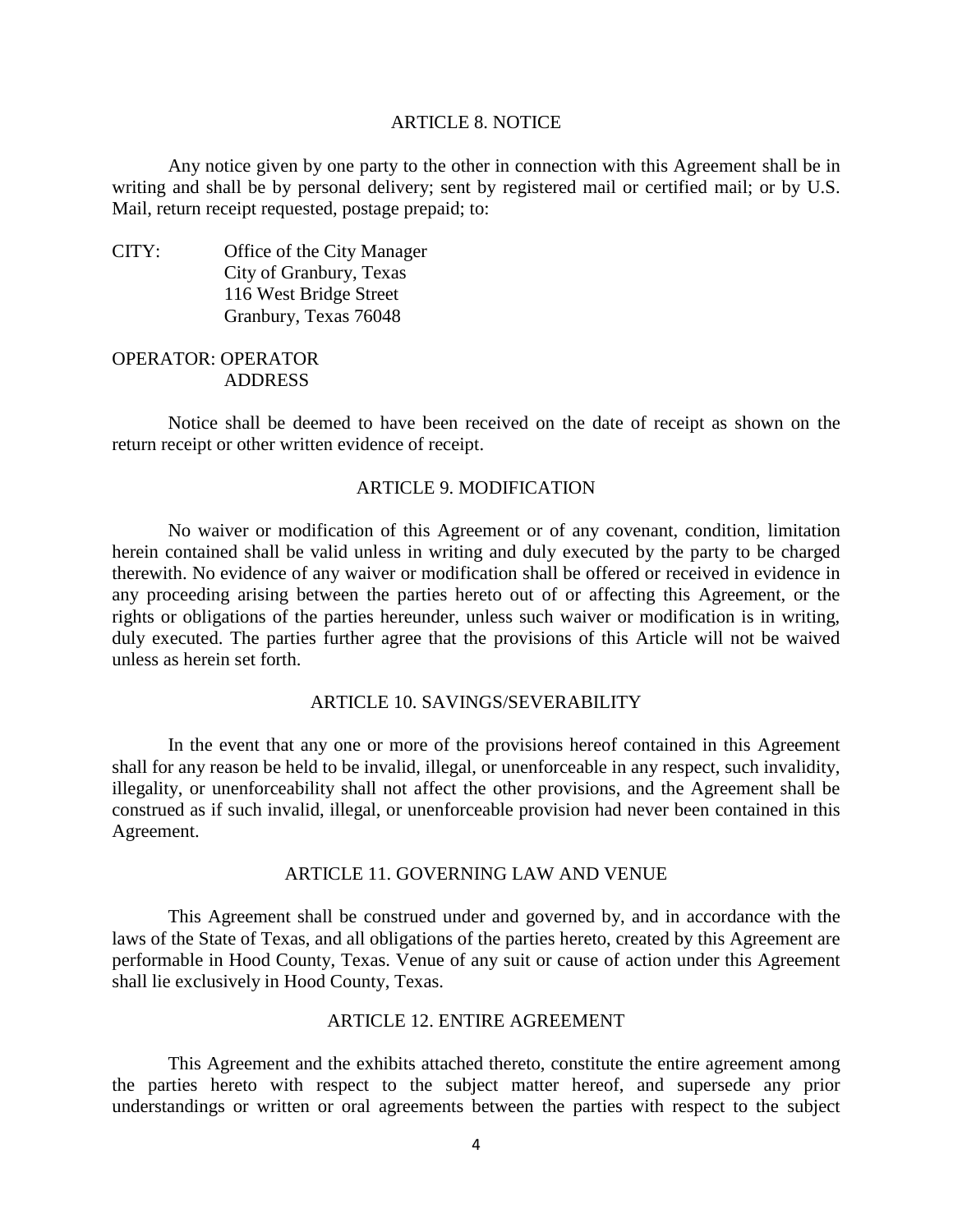#### ARTICLE 8. NOTICE

Any notice given by one party to the other in connection with this Agreement shall be in writing and shall be by personal delivery; sent by registered mail or certified mail; or by U.S. Mail, return receipt requested, postage prepaid; to:

CITY: Office of the City Manager City of Granbury, Texas 116 West Bridge Street Granbury, Texas 76048

## OPERATOR: OPERATOR ADDRESS

Notice shall be deemed to have been received on the date of receipt as shown on the return receipt or other written evidence of receipt.

# ARTICLE 9. MODIFICATION

No waiver or modification of this Agreement or of any covenant, condition, limitation herein contained shall be valid unless in writing and duly executed by the party to be charged therewith. No evidence of any waiver or modification shall be offered or received in evidence in any proceeding arising between the parties hereto out of or affecting this Agreement, or the rights or obligations of the parties hereunder, unless such waiver or modification is in writing, duly executed. The parties further agree that the provisions of this Article will not be waived unless as herein set forth.

## ARTICLE 10. SAVINGS/SEVERABILITY

In the event that any one or more of the provisions hereof contained in this Agreement shall for any reason be held to be invalid, illegal, or unenforceable in any respect, such invalidity, illegality, or unenforceability shall not affect the other provisions, and the Agreement shall be construed as if such invalid, illegal, or unenforceable provision had never been contained in this Agreement.

### ARTICLE 11. GOVERNING LAW AND VENUE

This Agreement shall be construed under and governed by, and in accordance with the laws of the State of Texas, and all obligations of the parties hereto, created by this Agreement are performable in Hood County, Texas. Venue of any suit or cause of action under this Agreement shall lie exclusively in Hood County, Texas.

# ARTICLE 12. ENTIRE AGREEMENT

This Agreement and the exhibits attached thereto, constitute the entire agreement among the parties hereto with respect to the subject matter hereof, and supersede any prior understandings or written or oral agreements between the parties with respect to the subject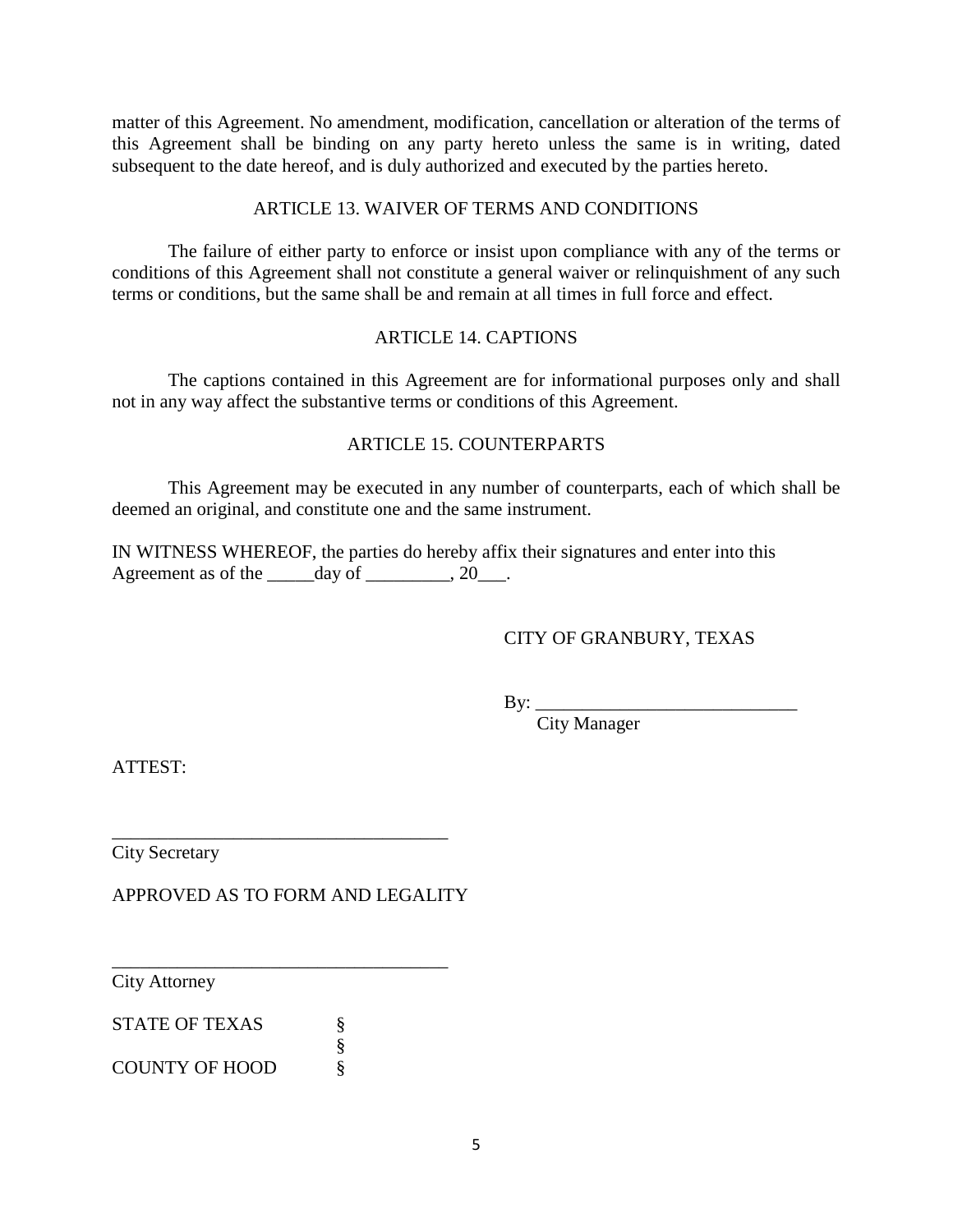matter of this Agreement. No amendment, modification, cancellation or alteration of the terms of this Agreement shall be binding on any party hereto unless the same is in writing, dated subsequent to the date hereof, and is duly authorized and executed by the parties hereto.

# ARTICLE 13. WAIVER OF TERMS AND CONDITIONS

The failure of either party to enforce or insist upon compliance with any of the terms or conditions of this Agreement shall not constitute a general waiver or relinquishment of any such terms or conditions, but the same shall be and remain at all times in full force and effect.

# ARTICLE 14. CAPTIONS

The captions contained in this Agreement are for informational purposes only and shall not in any way affect the substantive terms or conditions of this Agreement.

# ARTICLE 15. COUNTERPARTS

This Agreement may be executed in any number of counterparts, each of which shall be deemed an original, and constitute one and the same instrument.

IN WITNESS WHEREOF, the parties do hereby affix their signatures and enter into this Agreement as of the  $\qquad \qquad$  day of  $\qquad \qquad$ , 20.

# CITY OF GRANBURY, TEXAS

 $\mathbf{By:}$ 

City Manager

ATTEST:

City Secretary

APPROVED AS TO FORM AND LEGALITY

\_\_\_\_\_\_\_\_\_\_\_\_\_\_\_\_\_\_\_\_\_\_\_\_\_\_\_\_\_\_\_\_\_\_\_\_

\_\_\_\_\_\_\_\_\_\_\_\_\_\_\_\_\_\_\_\_\_\_\_\_\_\_\_\_\_\_\_\_\_\_\_\_

City Attorney

STATE OF TEXAS  $\S$ §

COUNTY OF HOOD